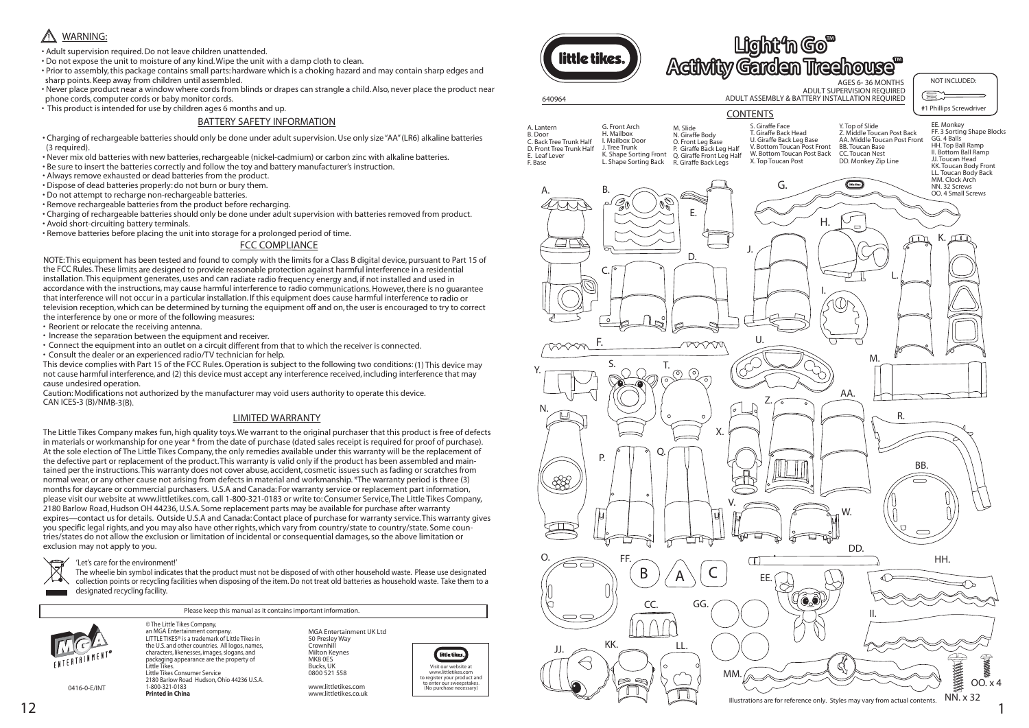# FCC COMPLIANCE

NOTE: This equipment has been tested and found to comply with the limits for a Class B digital device, pursuant to Part 15 of the FCC Rules. These limits are designed to provide reasonable protection against harmful interference in a residential installation. This equipment generates, uses and can radiate radio frequency energy and, if not installed and used in accordance with the instructions, may cause harmful interference to radio communications. However, there is no guarantee that interference will not occur in a particular installation. If this equipment does cause harmful interference to radio or television reception, which can be determined by turning the equipment off and on, the user is encouraged to try to correct the interference by one or more of the following measures:

- Reorient or relocate the receiving antenna.
- Increase the separation between the equipment and receiver.
- Connect the equipment into an outlet on a circuit different from that to which the receiver is connected.
- Consult the dealer or an experienced radio/TV technician for help.

This device complies with Part 15 of the FCC Rules. Operation is subject to the following two conditions: (1) This device may not cause harmful interference, and (2) this device must accept any interference received, including interference that may cause undesired operation.

Caution: Modifications not authorized by the manufacturer may void users authority to operate this device. CAN ICES-3 (B)/NMB-3(B).

### BATTERY SAFETY INFORMATION

little tikes Visit our website at www.littletikes.com to register your product and to enter our sweepstakes. (No purchase necessary)

- Charging of rechargeable batteries should only be done under adult supervision. Use only size"AA" (LR6) alkaline batteries (3 required).
- Never mix old batteries with new batteries, rechargeable (nickel-cadmium) or carbon zinc with alkaline batteries.
- Be sure to insert the batteries correctly and follow the toy and battery manufacturer's instruction.
- Always remove exhausted or dead batteries from the product.
- Dispose of dead batteries properly: do not burn or bury them.
- Do not attempt to recharge non-rechargeable batteries.
- Remove rechargeable batteries from the product before recharging.
- Charging of rechargeable batteries should only be done under adult supervision with batteries removed from product.
- Avoid short-circuiting battery terminals.
- Remove batteries before placing the unit into storage for a prolonged period of time.

Please keep this manual as it contains important information.



MGA Entertainment UK Ltd 50 Presley Way **Crownhill** Milton Keynes MK8 0ES Bucks, UK 0800 521 558

www.littletikes.com www.littletikes.co.uk

© The Little Tikes Company,

an MGA Entertainment company. LITTLE TIKES® is a trademark of Little Tikes in the U.S. and other countries. All logos, names, characters, likenesses, images, slogans, and packaging appearance are the property of Little Tikes. Little Tikes Consumer Service 2180 Barlow Road Hudson, Ohio 44236 U.S.A. 1-800-321-0183 **Printed in China**

0416-0-E/INT

#### 'Let's care for the environment!'

The wheelie bin symbol indicates that the product must not be disposed of with other household waste. Please use designated collection points or recycling facilities when disposing of the item. Do not treat old batteries as household waste. Take them to a designated recycling facility.

# A WARNING:

- Adult supervision required. Do not leave children unattended.
- Do not expose the unit to moisture of any kind. Wipe the unit with a damp cloth to clean.
- Prior to assembly, this package contains small parts: hardware which is a choking hazard and may contain sharp edges and sharp points. Keep away from children until assembled.
- Never place product near a window where cords from blinds or drapes can strangle a child. Also, never place the product near phone cords, computer cords or baby monitor cords.
- This product is intended for use by children ages 6 months and up.

The Little Tikes Company makes fun, high quality toys. We warrant to the original purchaser that this product is free of defects in materials or workmanship for one year \* from the date of purchase (dated sales receipt is required for proof of purchase). At the sole election of The Little Tikes Company, the only remedies available under this warranty will be the replacement of the defective part or replacement of the product. This warranty is valid only if the product has been assembled and maintained per the instructions. This warranty does not cover abuse, accident, cosmetic issues such as fading or scratches from normal wear, or any other cause not arising from defects in material and workmanship. \*The warranty period is three (3) months for daycare or commercial purchasers. U.S.A and Canada: For warranty service or replacement part information, please visit our website at www.littletikes.com, call 1-800-321-0183 or write to: Consumer Service, The Little Tikes Company, 2180 Barlow Road, Hudson OH 44236, U.S.A. Some replacement parts may be available for purchase after warranty expires—contact us for details. Outside U.S.A and Canada: Contact place of purchase for warranty service. This warranty gives you specific legal rights, and you may also have other rights, which vary from country/state to country/state. Some countries/states do not allow the exclusion or limitation of incidental or consequential damages, so the above limitation or exclusion may not apply to you.



### LIMITED WARRANTY

| G. Front Arch<br>A. Lantern<br>H. Mailbox<br>B. Door<br>I. Mailbox Door<br>C. Back Tree Trunk Half<br>J. Tree Trunk<br>D. Front Tree Trunk Half<br>K. Shape Sorting Front<br>E. Leaf Lever<br>L. Shape Sorting Back<br>F. Base | M. Slide<br>N. Giraffe Body<br>O. Front Leg Base<br>P. Giraffe Back Leg Half<br>Q. Giraffe Front Leg Half<br>R. Giraffe Back Legs | S. Giraffe<br>T. Giraffe<br>U. Giraffe<br>V. Bottor<br>W. Botto<br>X. Top To |
|--------------------------------------------------------------------------------------------------------------------------------------------------------------------------------------------------------------------------------|-----------------------------------------------------------------------------------------------------------------------------------|------------------------------------------------------------------------------|
|--------------------------------------------------------------------------------------------------------------------------------------------------------------------------------------------------------------------------------|-----------------------------------------------------------------------------------------------------------------------------------|------------------------------------------------------------------------------|



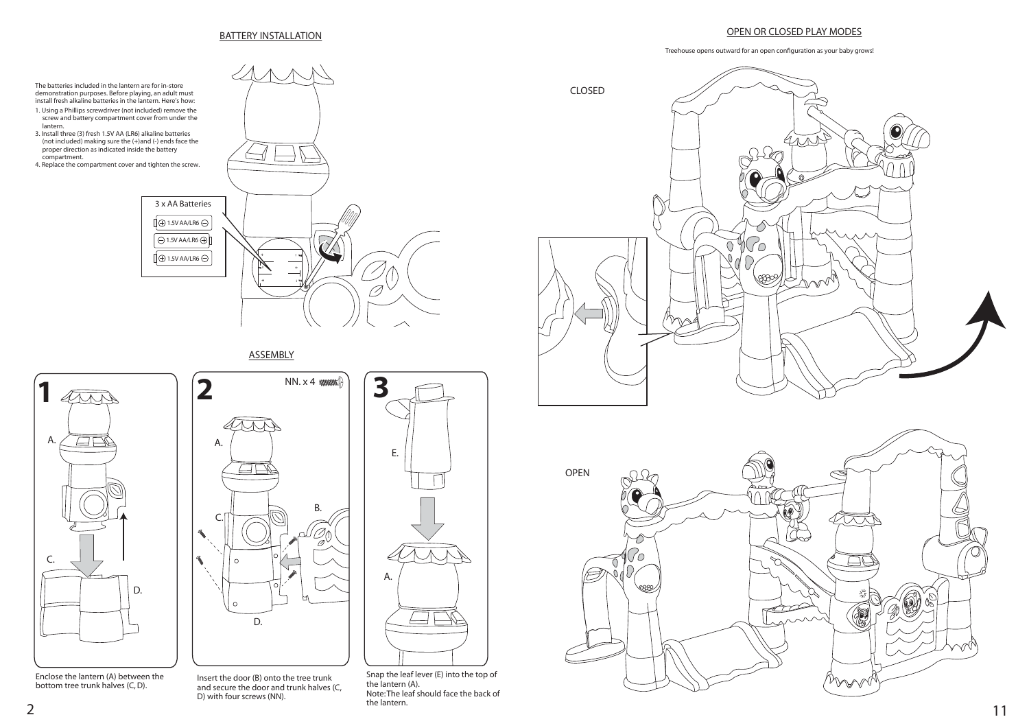

Snap the leaf lever (E) into the top of the lantern (A). Note: The leaf should face the back of the lantern. the lantern. The lantern. **11** 

3 x AA Batteries  $\overline{1}$   $\oplus$  1.5V AA/LR6  $\ominus$  $\Theta$ 1.5V AA/LR6 $\oplus$  $0.5V$  AA/LR6  $\ominus$ O,

**ASSEMBLY** 

#### BATTERY INSTALLATION



Enclose the lantern (A) between the bottom tree trunk halves (C, D).





# OPEN OR CLOSED PLAY MODES

Treehouse opens outward for an open configuration as your baby grows!



Insert the door (B) onto the tree trunk and secure the door and trunk halves (C, D) with four screws (NN).

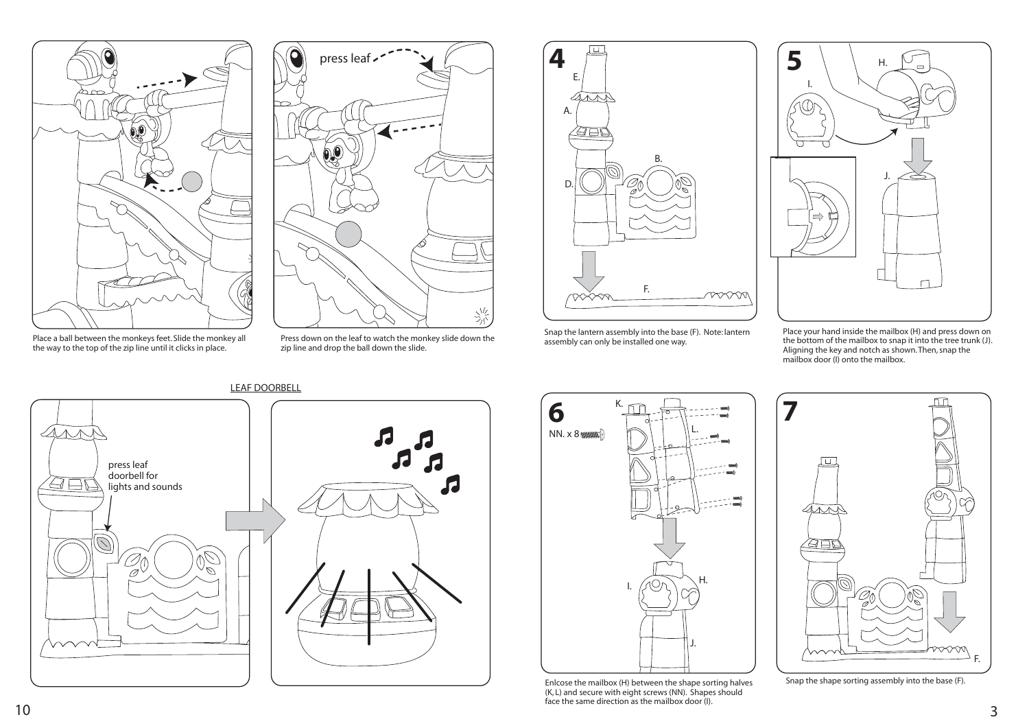Snap the lantern assembly into the base (F). Note: lantern assembly can only be installed one way.

Enlcose the mailbox (H) between the shape sorting halves (K, L) and secure with eight screws (NN). Shapes should face the same direction as the mailbox door (I).  $10$   $\sim$  3.44 and 2.4 central state direction as the manipole door (i).

Place your hand inside the mailbox (H) and press down on the bottom of the mailbox to snap it into the tree trunk (J). Aligning the key and notch as shown. Then, snap the mailbox door (I) onto the mailbox.



Snap the shape sorting assembly into the base (F).



LEAF DOORBELL





Place a ball between the monkeys feet. Slide the monkey all the way to the top of the zip line until it clicks in place.



Press down on the leaf to watch the monkey slide down the zip line and drop the ball down the slide.



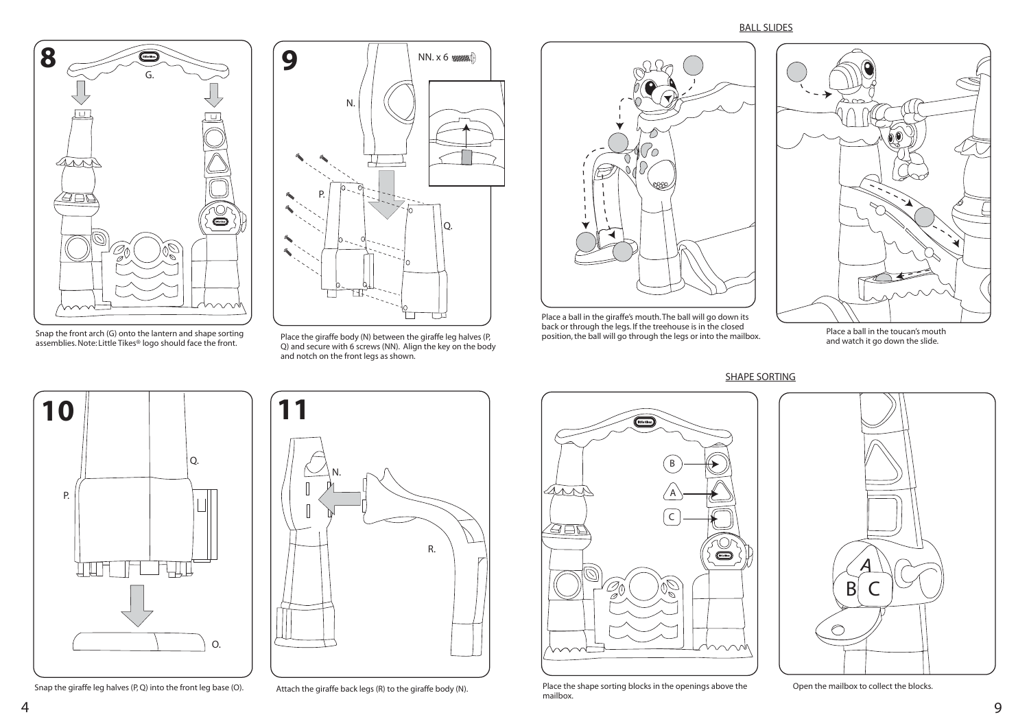

Snap the giraffe leg halves (P, Q) into the front leg base (O). Attach the giraffe back legs (R) to the giraffe body (N).

Place a ball in the giraffe's mouth. The ball will go down its back or through the legs. If the treehouse is in the closed **position** and until in the toucan's mouth position, the ball will go through the legs or into the mailbox.



Snap the front arch (G) onto the lantern and shape sorting<br>assemblies. Note: Little Tikes<sup>®</sup> logo should face the front.



SHAPE SORTING



Place the shape sorting blocks in the openings above the mailbox.



Shap the front arch (G) onto the fantern and shape sorting entity and secure the giraffe body (N) between the giraffe leg halves (P, assemblies. Note: Little Tikes® logo should face the front.  $Q)$  and secure with 6 screws and notch on the front legs as shown.





Open the mailbox to collect the blocks.

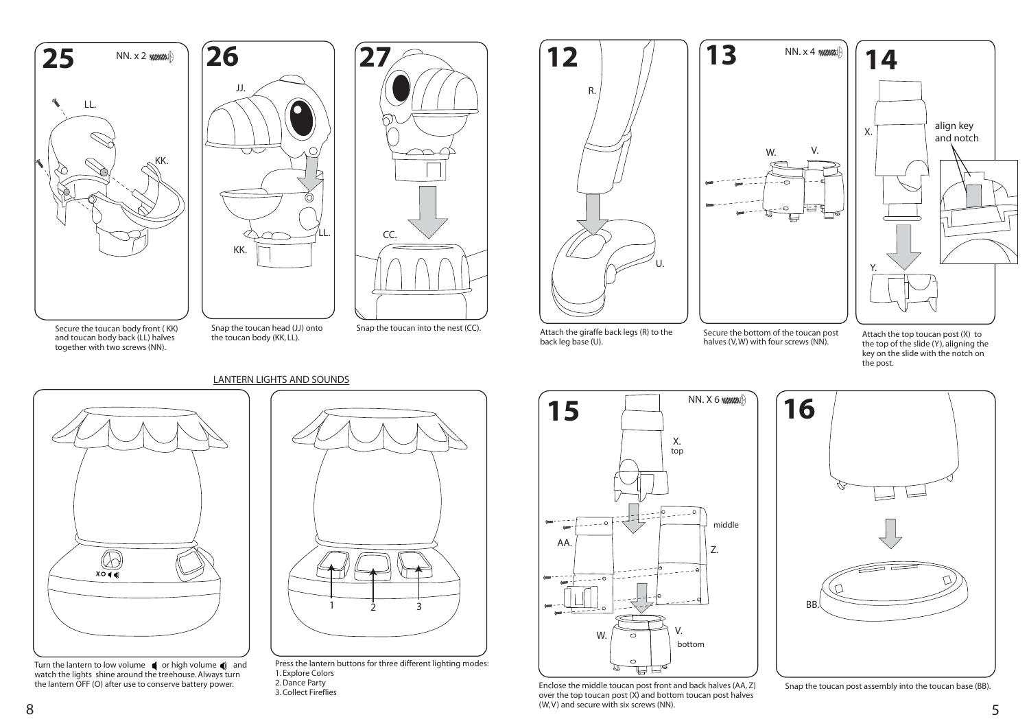

Secure the bottom of the toucan post halves (V, W) with four screws (NN).

- $1 \t 2 \t 3$ 
	- Press the lantern buttons for three different lighting modes: 1. Explore Colors
	- 2. Dance Party
	- 3. Collect Fireflies

Snap the toucan post assembly into the toucan base (BB).





Enclose the middle toucan post front and back halves (AA, Z) over the top toucan post (X) and bottom toucan post halves (W, V) and secure with six screws (NN).  $\sim$  8  $\sim$  5  $\sim$  5  $\sim$  5  $\sim$  5  $\sim$  5  $\sim$  5  $\sim$  5  $\sim$  5  $\sim$  5  $\sim$  5  $\sim$  5  $\sim$  5  $\sim$  5  $\sim$  5  $\sim$  5  $\sim$  5  $\sim$  5  $\sim$  5  $\sim$  5  $\sim$  5  $\sim$  5  $\sim$  5  $\sim$  5  $\sim$  5  $\sim$  5  $\sim$  5  $\sim$  5  $\sim$  5  $\sim$  5  $\sim$  5  $\sim$ 





Turn the lantern to low volume  $\bigcirc$  or high volume  $\bigcirc$  and watch the lights shine around the treehouse. Always turn the lantern OFF (O) after use to conserve battery power.

# LANTERN LIGHTS AND SOUNDS



- Secure the toucan body front ( KK) and toucan body back (LL) halves together with two screws (NN).
- Snap the toucan head (JJ) onto the toucan body (KK, LL).